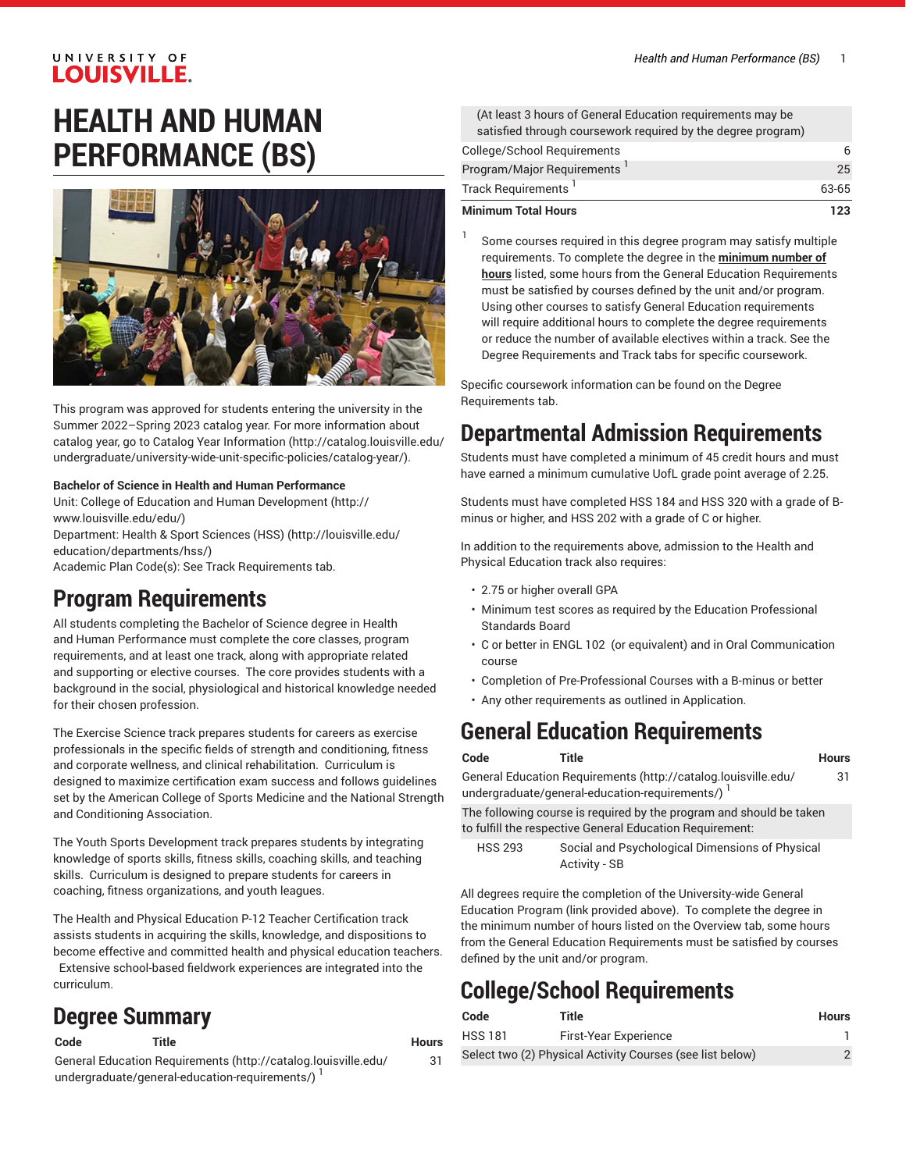# **HEALTH AND HUMAN PERFORMANCE (BS)**



This program was approved for students entering the university in the Summer 2022–Spring 2023 catalog year. For more information about catalog year, go to Catalog Year [Information](http://catalog.louisville.edu/undergraduate/university-wide-unit-specific-policies/catalog-year/) ([http://catalog.louisville.edu/](http://catalog.louisville.edu/undergraduate/university-wide-unit-specific-policies/catalog-year/) [undergraduate/university-wide-unit-specific-policies/catalog-year/](http://catalog.louisville.edu/undergraduate/university-wide-unit-specific-policies/catalog-year/)).

#### **Bachelor of Science in Health and Human Performance**

Unit: College of Education and Human [Development \(http://](http://www.louisville.edu/edu/) [www.louisville.edu/edu/\)](http://www.louisville.edu/edu/)

Department: Health & Sport [Sciences](http://louisville.edu/education/departments/hss/) (HSS) ([http://louisville.edu/](http://louisville.edu/education/departments/hss/) [education/departments/hss/\)](http://louisville.edu/education/departments/hss/)

Academic Plan Code(s): See Track Requirements tab.

### **Program Requirements**

All students completing the Bachelor of Science degree in Health and Human Performance must complete the core classes, program requirements, and at least one track, along with appropriate related and supporting or elective courses. The core provides students with a background in the social, physiological and historical knowledge needed for their chosen profession.

The Exercise Science track prepares students for careers as exercise professionals in the specific fields of strength and conditioning, fitness and corporate wellness, and clinical rehabilitation. Curriculum is designed to maximize certification exam success and follows guidelines set by the American College of Sports Medicine and the National Strength and Conditioning Association.

The Youth Sports Development track prepares students by integrating knowledge of sports skills, fitness skills, coaching skills, and teaching skills. Curriculum is designed to prepare students for careers in coaching, fitness organizations, and youth leagues.

The Health and Physical Education P-12 Teacher Certification track assists students in acquiring the skills, knowledge, and dispositions to become effective and committed health and physical education teachers. Extensive school-based fieldwork experiences are integrated into the curriculum.

### **Degree Summary**

**Code Title Hours**

31

General Education [Requirements](http://catalog.louisville.edu/undergraduate/general-education-requirements/) ([http://catalog.louisville.edu/](http://catalog.louisville.edu/undergraduate/general-education-requirements/) [undergraduate/general-education-requirements/\)](http://catalog.louisville.edu/undergraduate/general-education-requirements/)<sup>1</sup>

| <b>Minimum Total Hours</b>                                   | 123   |
|--------------------------------------------------------------|-------|
| Track Requirements                                           | 63-65 |
| Program/Major Requirements <sup>1</sup>                      | 25    |
| College/School Requirements                                  | 6     |
| satisfied through coursework required by the degree program) |       |
| (At least 3 hours of General Education requirements may be   |       |

Some courses required in this degree program may satisfy multiple requirements. To complete the degree in the **minimum number of hours** listed, some hours from the General Education Requirements must be satisfied by courses defined by the unit and/or program. Using other courses to satisfy General Education requirements will require additional hours to complete the degree requirements or reduce the number of available electives within a track. See the Degree Requirements and Track tabs for specific coursework.

Specific coursework information can be found on the Degree Requirements tab.

### **Departmental Admission Requirements**

Students must have completed a minimum of 45 credit hours and must have earned a minimum cumulative UofL grade point average of 2.25.

Students must have completed HSS 184 and HSS 320 with a grade of Bminus or higher, and HSS 202 with a grade of C or higher.

In addition to the requirements above, admission to the Health and Physical Education track also requires:

• 2.75 or higher overall GPA

1

- Minimum test scores as required by the Education Professional Standards Board
- C or better in ENGL 102 (or equivalent) and in Oral Communication course
- Completion of Pre-Professional Courses with a B-minus or better
- Any other requirements as outlined in Application.

### **General Education Requirements**

#### **Code Title Hours**

General Education [Requirements](http://catalog.louisville.edu/undergraduate/general-education-requirements/) ([http://catalog.louisville.edu/](http://catalog.louisville.edu/undergraduate/general-education-requirements/) [undergraduate/general-education-requirements/](http://catalog.louisville.edu/undergraduate/general-education-requirements/))  $^{\mathrm{1}}$ 

The following course is required by the program and should be taken to fulfill the respective General Education Requirement:

HSS 293 Social and Psychological Dimensions of Physical Activity - SB

All degrees require the completion of the University-wide General Education Program (link provided above). To complete the degree in the minimum number of hours listed on the Overview tab, some hours from the General Education Requirements must be satisfied by courses defined by the unit and/or program.

## **College/School Requirements**

| Code           | Title                                                     | <b>Hours</b> |
|----------------|-----------------------------------------------------------|--------------|
| <b>HSS 181</b> | First-Year Experience                                     |              |
|                | Select two (2) Physical Activity Courses (see list below) |              |

31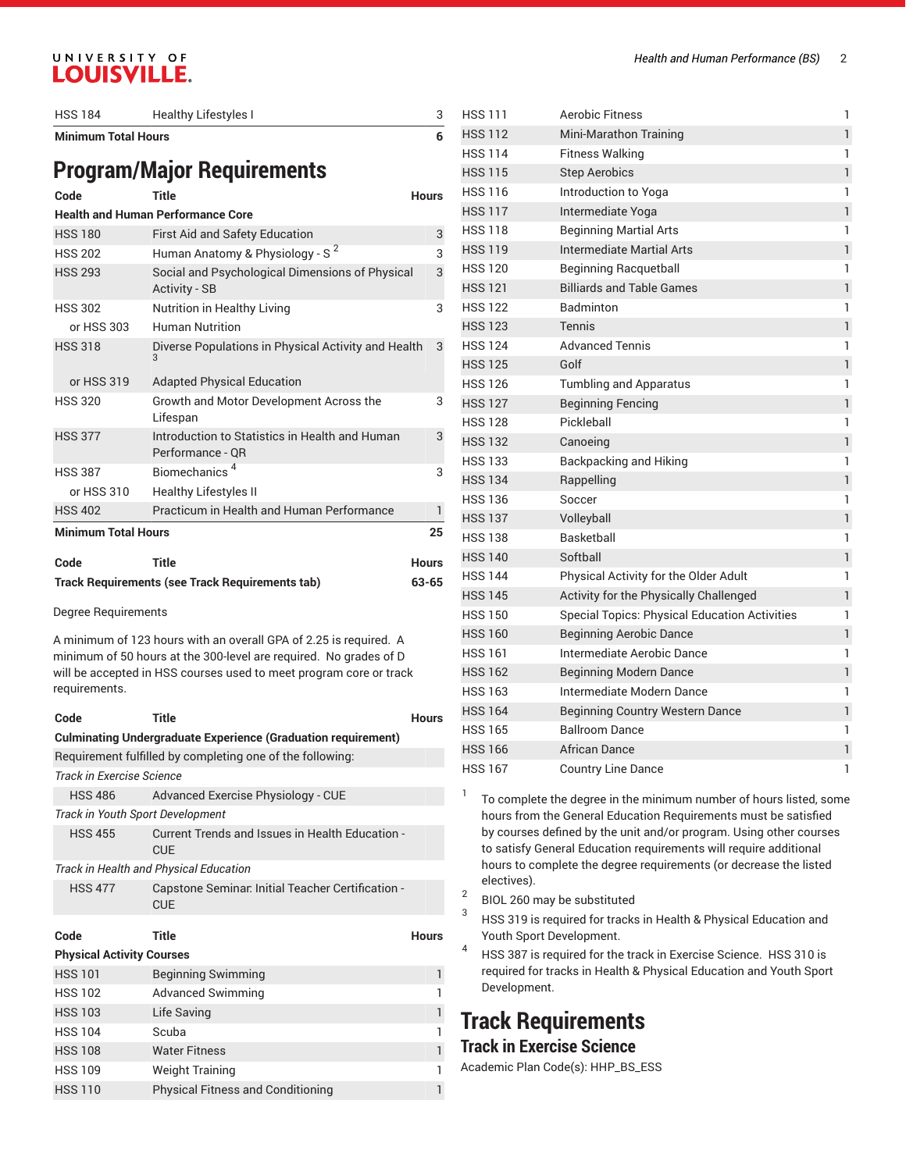| <b>HSS 184</b>             | Healthy Lifestyles I                                                    |              |
|----------------------------|-------------------------------------------------------------------------|--------------|
| <b>Minimum Total Hours</b> |                                                                         | 6            |
|                            | <b>Program/Major Requirements</b>                                       |              |
| Code                       | Title                                                                   | <b>Hours</b> |
|                            | <b>Health and Human Performance Core</b>                                |              |
| <b>HSS 180</b>             | <b>First Aid and Safety Education</b>                                   | 3            |
| <b>HSS 202</b>             | Human Anatomy & Physiology - S <sup>2</sup>                             | 3            |
| <b>HSS 293</b>             | Social and Psychological Dimensions of Physical<br><b>Activity - SB</b> |              |
| <b>HSS 302</b>             | Nutrition in Healthy Living                                             | 3            |
| or HSS 303                 | <b>Human Nutrition</b>                                                  |              |
| <b>HSS 318</b>             | Diverse Populations in Physical Activity and Health<br>3                | 3            |
| or HSS 319                 | <b>Adapted Physical Education</b>                                       |              |
| <b>HSS 320</b>             | Growth and Motor Development Across the<br>Lifespan                     | 3            |
| <b>HSS 377</b>             | Introduction to Statistics in Health and Human<br>Performance - QR      |              |
| <b>HSS 387</b>             | Biomechanics <sup>4</sup>                                               | 3            |
| or HSS 310                 | <b>Healthy Lifestyles II</b>                                            |              |
| <b>HSS 402</b>             | Practicum in Health and Human Performance                               | $\mathbf{1}$ |
| <b>Minimum Total Hours</b> |                                                                         | 25           |
| Code                       | Title                                                                   | <b>Hours</b> |
|                            | <b>Track Requirements (see Track Requirements tab)</b>                  | 63-65        |

Degree Requirements

A minimum of 123 hours with an overall GPA of 2.25 is required. A minimum of 50 hours at the 300-level are required. No grades of D will be accepted in HSS courses used to meet program core or track requirements.

| Code                             | <b>Title</b>                                                         | <b>Hours</b> |
|----------------------------------|----------------------------------------------------------------------|--------------|
|                                  | <b>Culminating Undergraduate Experience (Graduation requirement)</b> |              |
|                                  | Requirement fulfilled by completing one of the following:            |              |
| <b>Track in Exercise Science</b> |                                                                      |              |
| HSS 486                          | Advanced Exercise Physiology - CUE                                   |              |
| Track in Youth Sport Development |                                                                      |              |
| <b>HSS 455</b>                   | Current Trends and Issues in Health Education -<br><b>CUE</b>        |              |
|                                  | Track in Health and Physical Education                               |              |
| <b>HSS 477</b>                   | Capstone Seminar. Initial Teacher Certification -<br><b>CUE</b>      |              |
| Code                             | <b>Title</b>                                                         | <b>Hours</b> |
| <b>Physical Activity Courses</b> |                                                                      |              |
| <b>HSS 101</b>                   | <b>Beginning Swimming</b>                                            | 1            |
| <b>HSS 102</b>                   | <b>Advanced Swimming</b>                                             | 1            |
| <b>HSS 103</b>                   | Life Saving                                                          | 1            |
| <b>HSS 104</b>                   | Scuba                                                                | 1            |
| <b>HSS 108</b>                   | <b>Water Fitness</b>                                                 | 1            |
| <b>HSS 109</b>                   | <b>Weight Training</b>                                               | 1            |
| <b>HSS 110</b>                   | <b>Physical Fitness and Conditioning</b>                             | 1            |

| <b>HSS 111</b> | Aerobic Fitness                                      | 1            |
|----------------|------------------------------------------------------|--------------|
| <b>HSS 112</b> | Mini-Marathon Training                               | $\mathbf{1}$ |
| <b>HSS 114</b> | <b>Fitness Walking</b>                               | 1            |
| <b>HSS 115</b> | <b>Step Aerobics</b>                                 | $\mathbf{1}$ |
| <b>HSS 116</b> | Introduction to Yoga                                 | 1            |
| <b>HSS 117</b> | Intermediate Yoga                                    | $\mathbf{1}$ |
| <b>HSS 118</b> | <b>Beginning Martial Arts</b>                        | 1            |
| <b>HSS 119</b> | Intermediate Martial Arts                            | 1            |
| <b>HSS 120</b> | Beginning Racquetball                                | 1            |
| <b>HSS 121</b> | <b>Billiards and Table Games</b>                     | 1            |
| <b>HSS 122</b> | Badminton                                            | 1            |
| <b>HSS 123</b> | Tennis                                               | 1            |
| <b>HSS 124</b> | <b>Advanced Tennis</b>                               | 1            |
| <b>HSS 125</b> | Golf                                                 | $\mathbf{1}$ |
| <b>HSS 126</b> | <b>Tumbling and Apparatus</b>                        | 1            |
| <b>HSS 127</b> | <b>Beginning Fencing</b>                             | $\mathbf{1}$ |
| <b>HSS 128</b> | Pickleball                                           | 1            |
| <b>HSS 132</b> | Canoeing                                             | $\mathbf{1}$ |
| <b>HSS 133</b> | Backpacking and Hiking                               | 1            |
| <b>HSS 134</b> | Rappelling                                           | 1            |
| <b>HSS 136</b> | Soccer                                               | 1            |
| <b>HSS 137</b> | Volleyball                                           | $\mathbf{1}$ |
| <b>HSS 138</b> | <b>Basketball</b>                                    | 1            |
| <b>HSS 140</b> | Softball                                             | $\mathbf{1}$ |
| <b>HSS 144</b> | Physical Activity for the Older Adult                | 1            |
| <b>HSS 145</b> | Activity for the Physically Challenged               | 1            |
| <b>HSS 150</b> | <b>Special Topics: Physical Education Activities</b> | 1            |
| <b>HSS 160</b> | <b>Beginning Aerobic Dance</b>                       | 1            |
| <b>HSS 161</b> | Intermediate Aerobic Dance                           | 1            |
| <b>HSS 162</b> | <b>Beginning Modern Dance</b>                        | $\mathbf{1}$ |
| <b>HSS 163</b> | Intermediate Modern Dance                            | 1            |
| <b>HSS 164</b> | <b>Beginning Country Western Dance</b>               | $\mathbf{1}$ |
| <b>HSS 165</b> | <b>Ballroom Dance</b>                                | 1            |
| <b>HSS 166</b> | <b>African Dance</b>                                 | $\mathbf{1}$ |
| <b>HSS 167</b> | <b>Country Line Dance</b>                            | 1            |

1 To complete the degree in the minimum number of hours listed, some hours from the General Education Requirements must be satisfied by courses defined by the unit and/or program. Using other courses to satisfy General Education requirements will require additional hours to complete the degree requirements (or decrease the listed electives).

- 2 BIOL 260 may be substituted
- 3 HSS 319 is required for tracks in Health & Physical Education and Youth Sport Development.
- 4 HSS 387 is required for the track in Exercise Science. HSS 310 is required for tracks in Health & Physical Education and Youth Sport Development.

# **Track Requirements**

### **Track in Exercise Science**

Academic Plan Code(s): HHP\_BS\_ESS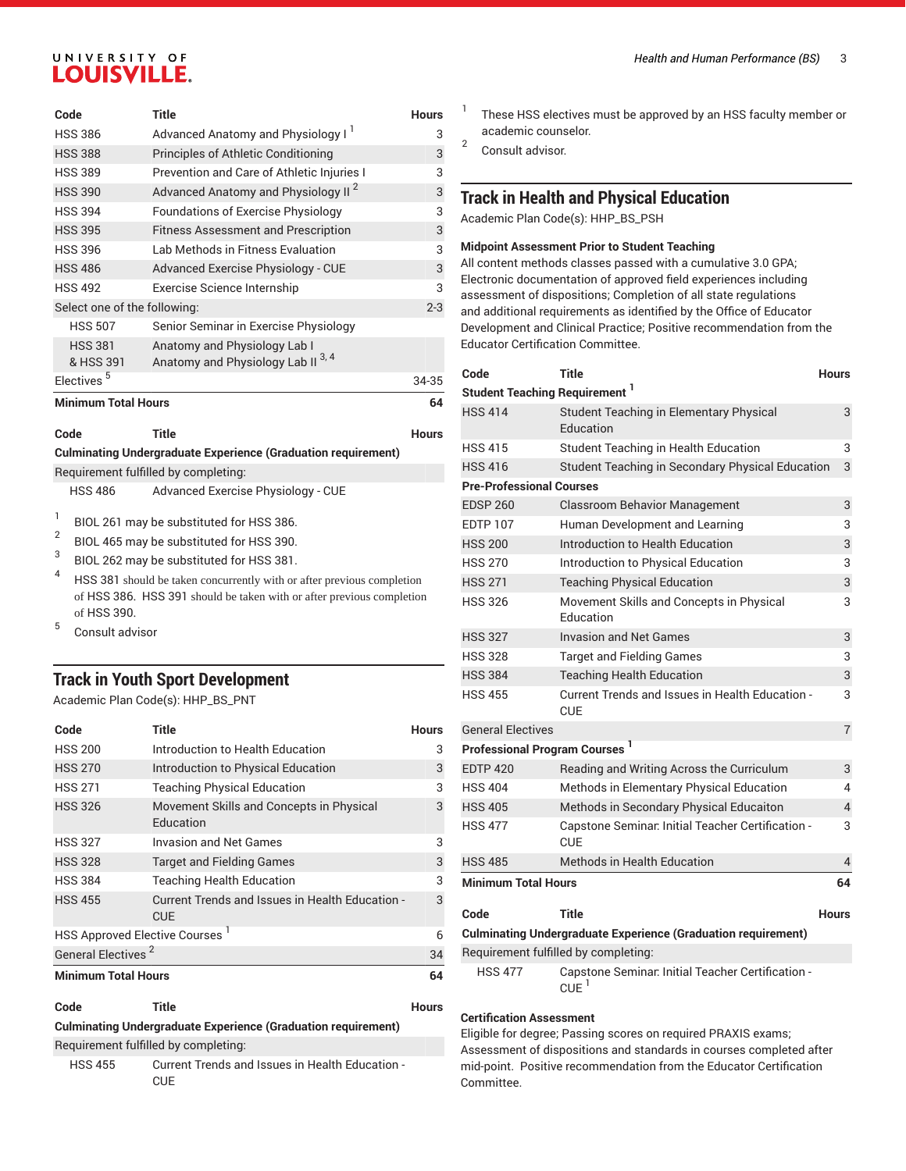| Code                         | <b>Title</b>                                    | <b>Hours</b> |
|------------------------------|-------------------------------------------------|--------------|
| <b>HSS 386</b>               | Advanced Anatomy and Physiology I               | 3            |
| <b>HSS 388</b>               | Principles of Athletic Conditioning             | 3            |
| <b>HSS 389</b>               | Prevention and Care of Athletic Injuries I      | 3            |
| <b>HSS 390</b>               | Advanced Anatomy and Physiology II <sup>2</sup> | 3            |
| <b>HSS 394</b>               | Foundations of Exercise Physiology              | 3            |
| <b>HSS 395</b>               | <b>Fitness Assessment and Prescription</b>      | 3            |
| <b>HSS 396</b>               | Lab Methods in Fitness Evaluation               | 3            |
| <b>HSS 486</b>               | Advanced Exercise Physiology - CUE              | 3            |
| <b>HSS 492</b>               | Exercise Science Internship                     | 3            |
| Select one of the following: |                                                 | $2 - 3$      |
| <b>HSS 507</b>               | Senior Seminar in Exercise Physiology           |              |
| <b>HSS 381</b>               | Anatomy and Physiology Lab I                    |              |
| & HSS 391                    | Anatomy and Physiology Lab II <sup>3,4</sup>    |              |
| Electives <sup>5</sup>       |                                                 | 34-35        |
| <b>Minimum Total Hours</b>   |                                                 | 64           |

| Code           | Title                                                                | <b>Hours</b> |
|----------------|----------------------------------------------------------------------|--------------|
|                | <b>Culminating Undergraduate Experience (Graduation requirement)</b> |              |
|                | Requirement fulfilled by completing:                                 |              |
| <b>HSS 486</b> | Advanced Exercise Physiology - CUE                                   |              |

- 1 BIOL 261 may be substituted for HSS 386.
- 2 BIOL 465 may be substituted for HSS 390.
- 3 BIOL 262 may be substituted for HSS 381.
- 4 HSS 381 should be taken concurrently with or after previous completion of HSS 386. HSS 391 should be taken with or after previous completion of HSS 390. 5
- Consult advisor

#### **Track in Youth Sport Development**

Academic Plan Code(s): HHP\_BS\_PNT

| Code                                       | <b>Title</b>                                                  | <b>Hours</b> |
|--------------------------------------------|---------------------------------------------------------------|--------------|
| <b>HSS 200</b>                             | Introduction to Health Education                              | 3            |
| <b>HSS 270</b>                             | Introduction to Physical Education                            | 3            |
| <b>HSS 271</b>                             | <b>Teaching Physical Education</b>                            | 3            |
| <b>HSS 326</b>                             | Movement Skills and Concepts in Physical<br>Education         | 3            |
| <b>HSS 327</b>                             | Invasion and Net Games                                        | 3            |
| <b>HSS 328</b>                             | <b>Target and Fielding Games</b>                              | 3            |
| <b>HSS 384</b>                             | <b>Teaching Health Education</b>                              | 3            |
| <b>HSS 455</b>                             | Current Trends and Issues in Health Education -<br><b>CUE</b> | 3            |
| HSS Approved Elective Courses <sup>1</sup> |                                                               | 6            |
| General Electives <sup>2</sup>             |                                                               | 34           |
| <b>Minimum Total Hours</b>                 |                                                               | 64           |

**Culminating Undergraduate Experience (Graduation requirement)**

Requirement fulfilled by completing:

HSS 455 Current Trends and Issues in Health Education - **CUE** 

- 1 These HSS electives must be approved by an HSS faculty member or academic counselor.
- 2 Consult advisor.

#### **Track in Health and Physical Education**

Academic Plan Code(s): HHP\_BS\_PSH

#### **Midpoint Assessment Prior to Student Teaching**

All content methods classes passed with a cumulative 3.0 GPA; Electronic documentation of approved field experiences including assessment of dispositions; Completion of all state regulations and additional requirements as identified by the Office of Educator Development and Clinical Practice; Positive recommendation from the Educator Certification Committee.

| Code                                             | <b>Title</b>                                                            | <b>Hours</b>   |
|--------------------------------------------------|-------------------------------------------------------------------------|----------------|
| <b>Student Teaching Requirement</b> 1            |                                                                         |                |
| <b>HSS 414</b>                                   | Student Teaching in Elementary Physical<br>Education                    | 3              |
| <b>HSS 415</b>                                   | <b>Student Teaching in Health Education</b>                             | 3              |
| <b>HSS 416</b>                                   | Student Teaching in Secondary Physical Education                        | 3              |
| <b>Pre-Professional Courses</b>                  |                                                                         |                |
| <b>EDSP 260</b>                                  | <b>Classroom Behavior Management</b>                                    | 3              |
| <b>EDTP 107</b>                                  | Human Development and Learning                                          | 3              |
| <b>HSS 200</b>                                   | Introduction to Health Education                                        | 3              |
| <b>HSS 270</b>                                   | Introduction to Physical Education                                      | 3              |
| <b>HSS 271</b>                                   | <b>Teaching Physical Education</b>                                      | 3              |
| <b>HSS 326</b>                                   | Movement Skills and Concepts in Physical<br>Education                   | 3              |
| <b>HSS 327</b>                                   | <b>Invasion and Net Games</b>                                           | 3              |
| <b>HSS 328</b>                                   | <b>Target and Fielding Games</b>                                        | 3              |
| <b>HSS 384</b>                                   | <b>Teaching Health Education</b>                                        | 3              |
| <b>HSS 455</b>                                   | Current Trends and Issues in Health Education -<br><b>CUE</b>           | 3              |
| <b>General Electives</b>                         |                                                                         | $\overline{7}$ |
| <b>Professional Program Courses</b> <sup>1</sup> |                                                                         |                |
| <b>EDTP 420</b>                                  | Reading and Writing Across the Curriculum                               | 3              |
| <b>HSS 404</b>                                   | Methods in Elementary Physical Education                                | 4              |
| <b>HSS 405</b>                                   | Methods in Secondary Physical Educaiton                                 | 4              |
| <b>HSS 477</b>                                   | Capstone Seminar. Initial Teacher Certification -<br><b>CUE</b>         | 3              |
| <b>HSS 485</b>                                   | Methods in Health Education                                             | $\overline{4}$ |
| <b>Minimum Total Hours</b>                       |                                                                         | 64             |
| Code                                             | Title                                                                   | <b>Hours</b>   |
|                                                  | <b>Culminating Undergraduate Experience (Graduation requirement)</b>    |                |
|                                                  | Requirement fulfilled by completing:                                    |                |
| <b>HSS 477</b>                                   | Capstone Seminar. Initial Teacher Certification -<br>$CUE$ <sup>1</sup> |                |

#### **Certification Assessment**

Eligible for degree; Passing scores on required PRAXIS exams; Assessment of dispositions and standards in courses completed after mid-point. Positive recommendation from the Educator Certification Committee.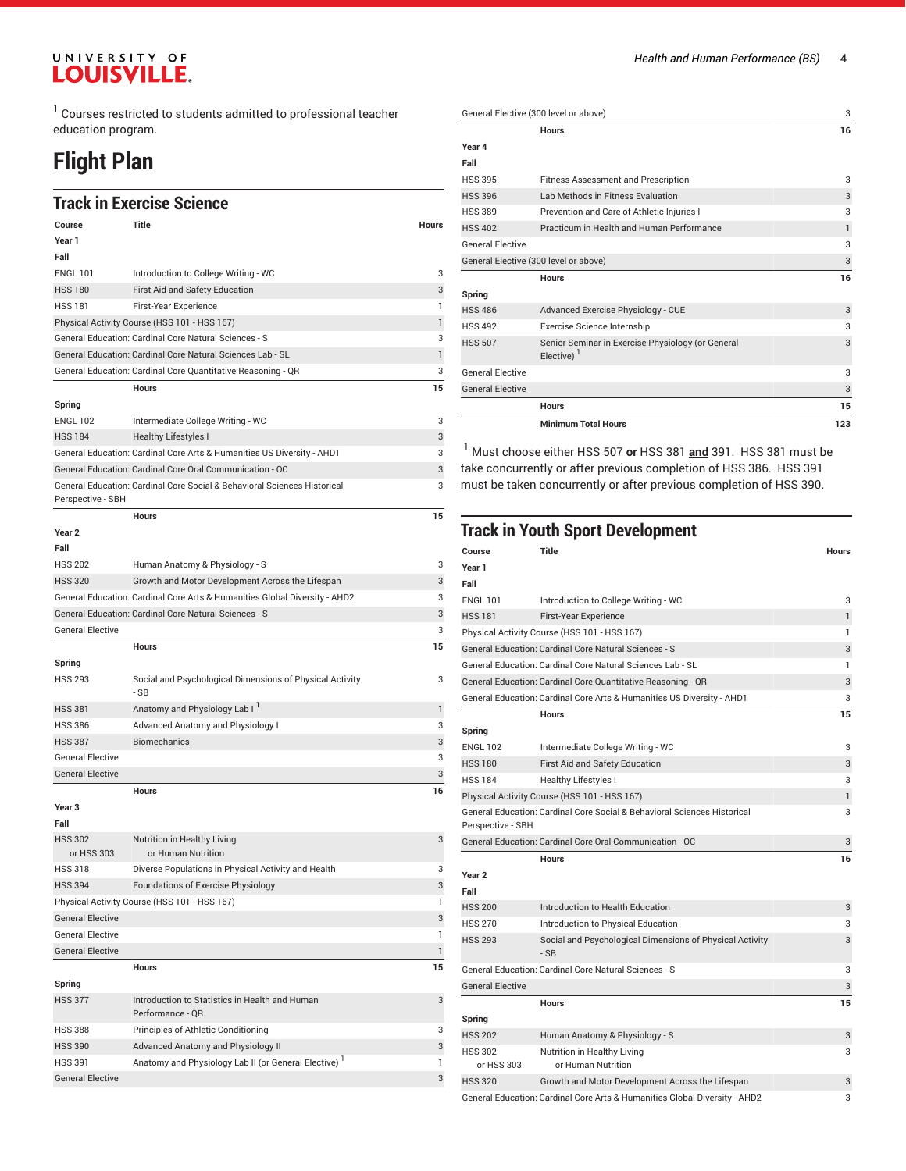$^1$  Courses restricted to students admitted to professional teacher education program.

### **Flight Plan**

#### **Track in Exercise Science**

|                              | LIGUR III EXEIUISE JUIEIIUE                                                |              |
|------------------------------|----------------------------------------------------------------------------|--------------|
| Course                       | Title                                                                      | <b>Hours</b> |
| Year 1                       |                                                                            |              |
| Fall                         |                                                                            |              |
| <b>ENGL 101</b>              | Introduction to College Writing - WC                                       | 3            |
| <b>HSS 180</b>               | First Aid and Safety Education                                             | 3            |
| <b>HSS 181</b>               | First-Year Experience                                                      | 1            |
|                              | Physical Activity Course (HSS 101 - HSS 167)                               | $\mathbf{1}$ |
|                              | General Education: Cardinal Core Natural Sciences - S                      | 3            |
|                              | General Education: Cardinal Core Natural Sciences Lab - SL                 | $\mathbf{1}$ |
|                              | General Education: Cardinal Core Quantitative Reasoning - QR               | 3            |
|                              | Hours                                                                      | 15           |
| Spring                       |                                                                            |              |
| <b>ENGL 102</b>              | Intermediate College Writing - WC                                          | 3            |
| <b>HSS 184</b>               | Healthy Lifestyles I                                                       | 3            |
|                              | General Education: Cardinal Core Arts & Humanities US Diversity - AHD1     | 3            |
|                              | General Education: Cardinal Core Oral Communication - OC                   | 3            |
|                              | General Education: Cardinal Core Social & Behavioral Sciences Historical   | 3            |
| Perspective - SBH            |                                                                            |              |
|                              | <b>Hours</b>                                                               | 15           |
| Year <sub>2</sub>            |                                                                            |              |
| Fall                         |                                                                            |              |
| <b>HSS 202</b>               | Human Anatomy & Physiology - S                                             | 3            |
| <b>HSS 320</b>               | Growth and Motor Development Across the Lifespan                           | 3            |
|                              | General Education: Cardinal Core Arts & Humanities Global Diversity - AHD2 | 3            |
|                              | General Education: Cardinal Core Natural Sciences - S                      | 3            |
| <b>General Elective</b>      |                                                                            | 3            |
|                              | <b>Hours</b>                                                               | 15           |
| Spring                       |                                                                            |              |
| <b>HSS 293</b>               | Social and Psychological Dimensions of Physical Activity<br>- SB           | 3            |
| <b>HSS 381</b>               | Anatomy and Physiology Lab I                                               | 1            |
| <b>HSS 386</b>               | <b>Advanced Anatomy and Physiology I</b>                                   | 3            |
| <b>HSS 387</b>               | <b>Biomechanics</b>                                                        | 3            |
| <b>General Elective</b>      |                                                                            | 3            |
| <b>General Elective</b>      |                                                                            | 3            |
|                              | <b>Hours</b>                                                               | 16           |
| Year <sub>3</sub>            |                                                                            |              |
| Fall                         |                                                                            |              |
| <b>HSS 302</b><br>or HSS 303 | Nutrition in Healthy Living<br>or Human Nutrition                          | 3            |
| <b>HSS 318</b>               | Diverse Populations in Physical Activity and Health                        | 3            |
| <b>HSS 394</b>               | Foundations of Exercise Physiology                                         | 3            |
|                              | Physical Activity Course (HSS 101 - HSS 167)                               | 1            |
| <b>General Elective</b>      |                                                                            | 3            |
| <b>General Elective</b>      |                                                                            | 1            |
| <b>General Elective</b>      |                                                                            | $\mathbf{1}$ |
|                              | Hours                                                                      | 15           |
| Spring                       |                                                                            |              |
| <b>HSS 377</b>               | Introduction to Statistics in Health and Human<br>Performance - QR         | 3            |
| <b>HSS 388</b>               | Principles of Athletic Conditioning                                        | 3            |
| <b>HSS 390</b>               | Advanced Anatomy and Physiology II                                         | 3            |
| <b>HSS 391</b>               | Anatomy and Physiology Lab II (or General Elective) <sup>1</sup>           | 1            |
| <b>General Elective</b>      |                                                                            | 3            |

| General Elective (300 level or above) |                                                                    | 3            |
|---------------------------------------|--------------------------------------------------------------------|--------------|
|                                       | <b>Hours</b>                                                       | 16           |
| Year 4                                |                                                                    |              |
| Fall                                  |                                                                    |              |
| <b>HSS 395</b>                        | <b>Fitness Assessment and Prescription</b>                         | 3            |
| <b>HSS 396</b>                        | Lab Methods in Fitness Evaluation                                  | 3            |
| <b>HSS 389</b>                        | Prevention and Care of Athletic Injuries I                         | 3            |
| <b>HSS 402</b>                        | Practicum in Health and Human Performance                          | $\mathbf{1}$ |
| <b>General Elective</b>               |                                                                    | 3            |
| General Elective (300 level or above) |                                                                    | $\sqrt{3}$   |
|                                       | <b>Hours</b>                                                       | 16           |
| Spring                                |                                                                    |              |
| <b>HSS 486</b>                        | Advanced Exercise Physiology - CUE                                 | 3            |
| <b>HSS 492</b>                        | Exercise Science Internship                                        | 3            |
| <b>HSS 507</b>                        | Senior Seminar in Exercise Physiology (or General<br>Elective) $1$ | 3            |
| <b>General Elective</b>               |                                                                    | 3            |
| <b>General Elective</b>               |                                                                    | 3            |
|                                       | <b>Hours</b>                                                       | 15           |
|                                       | <b>Minimum Total Hours</b>                                         | 123          |
|                                       |                                                                    |              |

1 Must choose either HSS 507 **or** HSS 381 **and** 391. HSS 381 must be take concurrently or after previous completion of HSS 386. HSS 391 must be taken concurrently or after previous completion of HSS 390.

#### **Track in Youth Sport Development**

| Course                       | Title                                                                      | <b>Hours</b> |
|------------------------------|----------------------------------------------------------------------------|--------------|
| Year 1                       |                                                                            |              |
| Fall                         |                                                                            |              |
| <b>ENGL 101</b>              | Introduction to College Writing - WC                                       | 3            |
| <b>HSS 181</b>               | <b>First-Year Experience</b>                                               | $\mathbf{1}$ |
|                              | Physical Activity Course (HSS 101 - HSS 167)                               | 1            |
|                              | General Education: Cardinal Core Natural Sciences - S                      | 3            |
|                              | General Education: Cardinal Core Natural Sciences Lab - SL                 | 1            |
|                              | General Education: Cardinal Core Quantitative Reasoning - QR               | 3            |
|                              | General Education: Cardinal Core Arts & Humanities US Diversity - AHD1     | 3            |
|                              | <b>Hours</b>                                                               | 15           |
| Spring                       |                                                                            |              |
| <b>ENGL 102</b>              | Intermediate College Writing - WC                                          | 3            |
| <b>HSS 180</b>               | First Aid and Safety Education                                             | 3            |
| <b>HSS 184</b>               | <b>Healthy Lifestyles I</b>                                                | 3            |
|                              | Physical Activity Course (HSS 101 - HSS 167)                               | $\mathbf{1}$ |
|                              | General Education: Cardinal Core Social & Behavioral Sciences Historical   | 3            |
| Perspective - SBH            |                                                                            |              |
|                              | General Education: Cardinal Core Oral Communication - OC                   | 3            |
|                              | <b>Hours</b>                                                               | 16           |
| Year <sub>2</sub>            |                                                                            |              |
| Fall                         |                                                                            |              |
| <b>HSS 200</b>               | Introduction to Health Education                                           | 3            |
| <b>HSS 270</b>               | Introduction to Physical Education                                         | 3            |
| <b>HSS 293</b>               | Social and Psychological Dimensions of Physical Activity<br>$-SB$          | 3            |
|                              | General Education: Cardinal Core Natural Sciences - S                      | 3            |
| <b>General Elective</b>      |                                                                            | 3            |
|                              | <b>Hours</b>                                                               | 15           |
| Spring                       |                                                                            |              |
| <b>HSS 202</b>               | Human Anatomy & Physiology - S                                             | 3            |
| <b>HSS 302</b><br>or HSS 303 | Nutrition in Healthy Living<br>or Human Nutrition                          | 3            |
| <b>HSS 320</b>               | Growth and Motor Development Across the Lifespan                           | 3            |
|                              | General Education: Cardinal Core Arts & Humanities Global Diversity - AHD2 | 3            |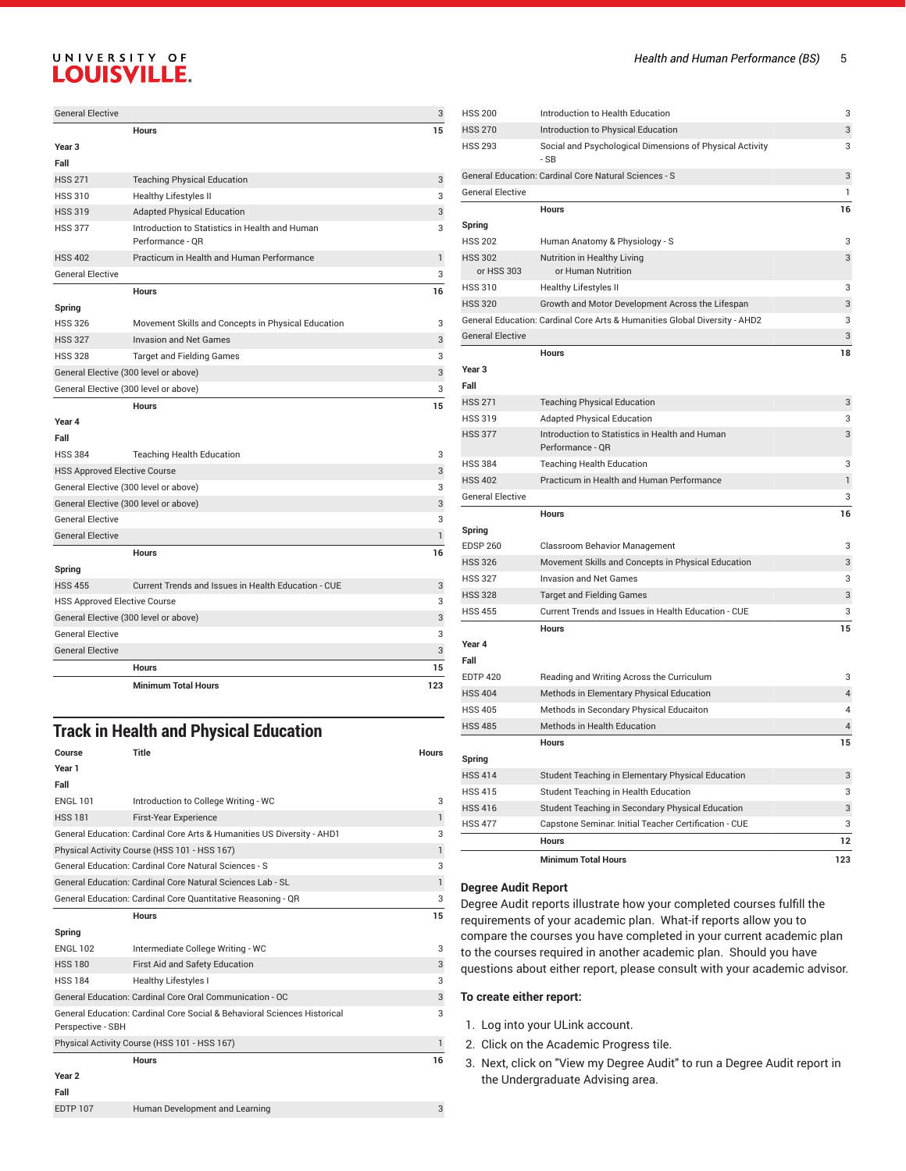| <b>General Elective</b>               |                                                                    | 3            |
|---------------------------------------|--------------------------------------------------------------------|--------------|
|                                       | <b>Hours</b>                                                       | 15           |
| Year <sub>3</sub>                     |                                                                    |              |
| Fall                                  |                                                                    |              |
| <b>HSS 271</b>                        | <b>Teaching Physical Education</b>                                 | 3            |
| <b>HSS 310</b>                        | <b>Healthy Lifestyles II</b>                                       | 3            |
| <b>HSS 319</b>                        | <b>Adapted Physical Education</b>                                  | 3            |
| <b>HSS 377</b>                        | Introduction to Statistics in Health and Human<br>Performance - OR | 3            |
| <b>HSS 402</b>                        | Practicum in Health and Human Performance                          | 1            |
| <b>General Elective</b>               |                                                                    | 3            |
|                                       | <b>Hours</b>                                                       | 16           |
| Spring                                |                                                                    |              |
| <b>HSS 326</b>                        | Movement Skills and Concepts in Physical Education                 | 3            |
| <b>HSS 327</b>                        | <b>Invasion and Net Games</b>                                      | 3            |
| <b>HSS 328</b>                        | <b>Target and Fielding Games</b>                                   | 3            |
| General Elective (300 level or above) |                                                                    | 3            |
| General Elective (300 level or above) |                                                                    | 3            |
|                                       | <b>Hours</b>                                                       | 15           |
| Year 4                                |                                                                    |              |
| Fall                                  |                                                                    |              |
| <b>HSS 384</b>                        | <b>Teaching Health Education</b>                                   | 3            |
| <b>HSS Approved Elective Course</b>   |                                                                    | 3            |
| General Elective (300 level or above) |                                                                    | 3            |
| General Elective (300 level or above) | 3                                                                  |              |
| <b>General Elective</b>               |                                                                    | 3            |
| <b>General Elective</b>               |                                                                    | $\mathbf{1}$ |
|                                       | <b>Hours</b>                                                       | 16           |
| Spring                                |                                                                    |              |
| <b>HSS 455</b>                        | Current Trends and Issues in Health Education - CUE                | 3            |
| <b>HSS Approved Elective Course</b>   |                                                                    | 3            |
| General Elective (300 level or above) |                                                                    | 3            |
| <b>General Elective</b>               |                                                                    | 3            |
| <b>General Elective</b>               |                                                                    | 3            |
|                                       | <b>Hours</b>                                                       | 15           |
|                                       | <b>Minimum Total Hours</b>                                         | 123          |

#### **Track in Health and Physical Education**

| Course                                                     | Title                                                                    | <b>Hours</b> |
|------------------------------------------------------------|--------------------------------------------------------------------------|--------------|
| Year 1                                                     |                                                                          |              |
| Fall                                                       |                                                                          |              |
| <b>ENGL 101</b>                                            | Introduction to College Writing - WC                                     | 3            |
| <b>HSS 181</b>                                             | First-Year Experience                                                    | $\mathbf{1}$ |
|                                                            | General Education: Cardinal Core Arts & Humanities US Diversity - AHD1   | 3            |
|                                                            | Physical Activity Course (HSS 101 - HSS 167)                             | $\mathbf{1}$ |
|                                                            | General Education: Cardinal Core Natural Sciences - S                    | 3            |
| General Education: Cardinal Core Natural Sciences Lab - SL | $\mathbf{1}$                                                             |              |
|                                                            | General Education: Cardinal Core Quantitative Reasoning - QR             | 3            |
|                                                            | <b>Hours</b>                                                             | 15           |
| Spring                                                     |                                                                          |              |
| <b>ENGL 102</b>                                            | Intermediate College Writing - WC                                        | 3            |
| <b>HSS 180</b>                                             | First Aid and Safety Education                                           | 3            |
| <b>HSS 184</b>                                             | <b>Healthy Lifestyles I</b>                                              | 3            |
|                                                            | General Education: Cardinal Core Oral Communication - OC                 | 3            |
| Perspective - SBH                                          | General Education: Cardinal Core Social & Behavioral Sciences Historical | 3            |
| Physical Activity Course (HSS 101 - HSS 167)               |                                                                          | 1            |
|                                                            | <b>Hours</b>                                                             | 16           |
| Year <sub>2</sub>                                          |                                                                          |              |
| Fall                                                       |                                                                          |              |
| <b>EDTP 107</b>                                            | Human Development and Learning                                           | 3            |

| <b>HSS 200</b>          | Introduction to Health Education                                           | 3              |
|-------------------------|----------------------------------------------------------------------------|----------------|
| <b>HSS 270</b>          | Introduction to Physical Education                                         | 3              |
| <b>HSS 293</b>          | Social and Psychological Dimensions of Physical Activity<br>- SB           | 3              |
|                         | General Education: Cardinal Core Natural Sciences - S                      | 3              |
| <b>General Elective</b> |                                                                            | 1              |
|                         | <b>Hours</b>                                                               | 16             |
| Spring                  |                                                                            |                |
| <b>HSS 202</b>          | Human Anatomy & Physiology - S                                             | 3              |
| <b>HSS 302</b>          | Nutrition in Healthy Living                                                | 3              |
| or HSS 303              | or Human Nutrition                                                         |                |
| <b>HSS 310</b>          | <b>Healthy Lifestyles II</b>                                               | 3              |
| <b>HSS 320</b>          | Growth and Motor Development Across the Lifespan                           | 3              |
|                         | General Education: Cardinal Core Arts & Humanities Global Diversity - AHD2 | 3              |
| <b>General Elective</b> |                                                                            | 3              |
|                         | <b>Hours</b>                                                               | 18             |
| Year <sub>3</sub>       |                                                                            |                |
| Fall                    |                                                                            |                |
| <b>HSS 271</b>          | <b>Teaching Physical Education</b>                                         | 3              |
| <b>HSS 319</b>          | <b>Adapted Physical Education</b>                                          | 3              |
| <b>HSS 377</b>          | Introduction to Statistics in Health and Human<br>Performance - QR         | 3              |
| <b>HSS 384</b>          | <b>Teaching Health Education</b>                                           | 3              |
| <b>HSS 402</b>          | Practicum in Health and Human Performance                                  | $\mathbf{1}$   |
| <b>General Elective</b> |                                                                            | 3              |
|                         | <b>Hours</b>                                                               | 16             |
| Spring                  |                                                                            |                |
| <b>EDSP 260</b>         | <b>Classroom Behavior Management</b>                                       | 3              |
| <b>HSS 326</b>          | Movement Skills and Concepts in Physical Education                         | 3              |
| <b>HSS 327</b>          | <b>Invasion and Net Games</b>                                              | 3              |
| <b>HSS 328</b>          | <b>Target and Fielding Games</b>                                           | 3              |
| <b>HSS 455</b>          | Current Trends and Issues in Health Education - CUE                        | 3              |
|                         | <b>Hours</b>                                                               | 15             |
| Year 4                  |                                                                            |                |
| Fall                    |                                                                            |                |
| <b>EDTP 420</b>         | Reading and Writing Across the Curriculum                                  | 3              |
| <b>HSS 404</b>          | Methods in Elementary Physical Education                                   | $\overline{4}$ |
| <b>HSS 405</b>          | Methods in Secondary Physical Educaiton                                    | 4              |
| <b>HSS 485</b>          | Methods in Health Education                                                | $\overline{4}$ |
|                         | <b>Hours</b>                                                               | 15             |
| Spring                  |                                                                            |                |
| <b>HSS 414</b>          | Student Teaching in Elementary Physical Education                          | 3              |
| <b>HSS 415</b>          | Student Teaching in Health Education                                       | 3              |
| <b>HSS 416</b>          | Student Teaching in Secondary Physical Education                           | 3              |
| <b>HSS 477</b>          | Capstone Seminar: Initial Teacher Certification - CUE                      | 3              |
|                         | Hours                                                                      | 12             |
|                         | <b>Minimum Total Hours</b>                                                 | 123            |
|                         |                                                                            |                |

#### **Degree Audit Report**

Degree Audit reports illustrate how your completed courses fulfill the requirements of your academic plan. What-if reports allow you to compare the courses you have completed in your current academic plan to the courses required in another academic plan. Should you have questions about either report, please consult with your academic advisor.

#### **To create either report:**

- 1. Log into your ULink account.
- 2. Click on the Academic Progress tile.
- 3. Next, click on "View my Degree Audit" to run a Degree Audit report in the Undergraduate Advising area.